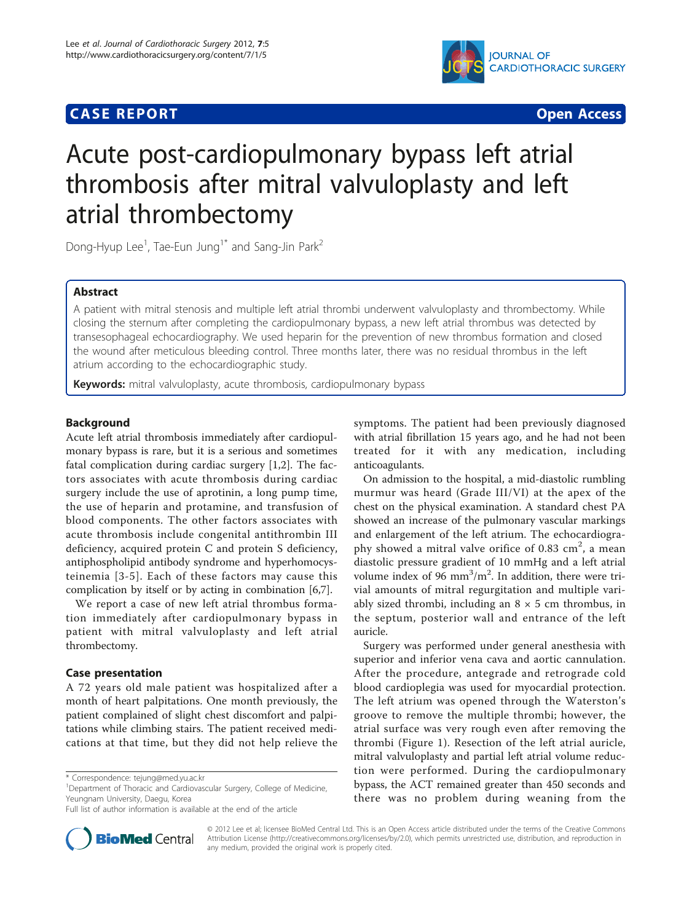# **CASE REPORT CASE REPORT**



# Acute post-cardiopulmonary bypass left atrial thrombosis after mitral valvuloplasty and left atrial thrombectomy

Dong-Hyup Lee $^1$ , Tae-Eun Jung $^{1^\ast}$  and Sang-Jin Park $^2$ 

# Abstract

A patient with mitral stenosis and multiple left atrial thrombi underwent valvuloplasty and thrombectomy. While closing the sternum after completing the cardiopulmonary bypass, a new left atrial thrombus was detected by transesophageal echocardiography. We used heparin for the prevention of new thrombus formation and closed the wound after meticulous bleeding control. Three months later, there was no residual thrombus in the left atrium according to the echocardiographic study.

Keywords: mitral valvuloplasty, acute thrombosis, cardiopulmonary bypass

# Background

Acute left atrial thrombosis immediately after cardiopulmonary bypass is rare, but it is a serious and sometimes fatal complication during cardiac surgery [[1,2\]](#page-2-0). The factors associates with acute thrombosis during cardiac surgery include the use of aprotinin, a long pump time, the use of heparin and protamine, and transfusion of blood components. The other factors associates with acute thrombosis include congenital antithrombin III deficiency, acquired protein C and protein S deficiency, antiphospholipid antibody syndrome and hyperhomocysteinemia [[3-5\]](#page-2-0). Each of these factors may cause this complication by itself or by acting in combination [\[6,7](#page-2-0)].

We report a case of new left atrial thrombus formation immediately after cardiopulmonary bypass in patient with mitral valvuloplasty and left atrial thrombectomy.

# Case presentation

A 72 years old male patient was hospitalized after a month of heart palpitations. One month previously, the patient complained of slight chest discomfort and palpitations while climbing stairs. The patient received medications at that time, but they did not help relieve the

<sup>1</sup>Department of Thoracic and Cardiovascular Surgery, College of Medicine, Yeungnam University, Daegu, Korea



On admission to the hospital, a mid-diastolic rumbling murmur was heard (Grade III/VI) at the apex of the chest on the physical examination. A standard chest PA showed an increase of the pulmonary vascular markings and enlargement of the left atrium. The echocardiography showed a mitral valve orifice of  $0.83 \text{ cm}^2$ , a mean diastolic pressure gradient of 10 mmHg and a left atrial volume index of  $96 \text{ mm}^3/\text{m}^2$ . In addition, there were trivial amounts of mitral regurgitation and multiple variably sized thrombi, including an  $8 \times 5$  cm thrombus, in the septum, posterior wall and entrance of the left auricle.

Surgery was performed under general anesthesia with superior and inferior vena cava and aortic cannulation. After the procedure, antegrade and retrograde cold blood cardioplegia was used for myocardial protection. The left atrium was opened through the Waterston's groove to remove the multiple thrombi; however, the atrial surface was very rough even after removing the thrombi (Figure [1\)](#page-1-0). Resection of the left atrial auricle, mitral valvuloplasty and partial left atrial volume reduction were performed. During the cardiopulmonary bypass, the ACT remained greater than 450 seconds and there was no problem during weaning from the



© 2012 Lee et al; licensee BioMed Central Ltd. This is an Open Access article distributed under the terms of the Creative Commons Attribution License [\(http://creativecommons.org/licenses/by/2.0](http://creativecommons.org/licenses/by/2.0)), which permits unrestricted use, distribution, and reproduction in any medium, provided the original work is properly cited.

<sup>\*</sup> Correspondence: [tejung@med.yu.ac.kr](mailto:tejung@med.yu.ac.kr)

Full list of author information is available at the end of the article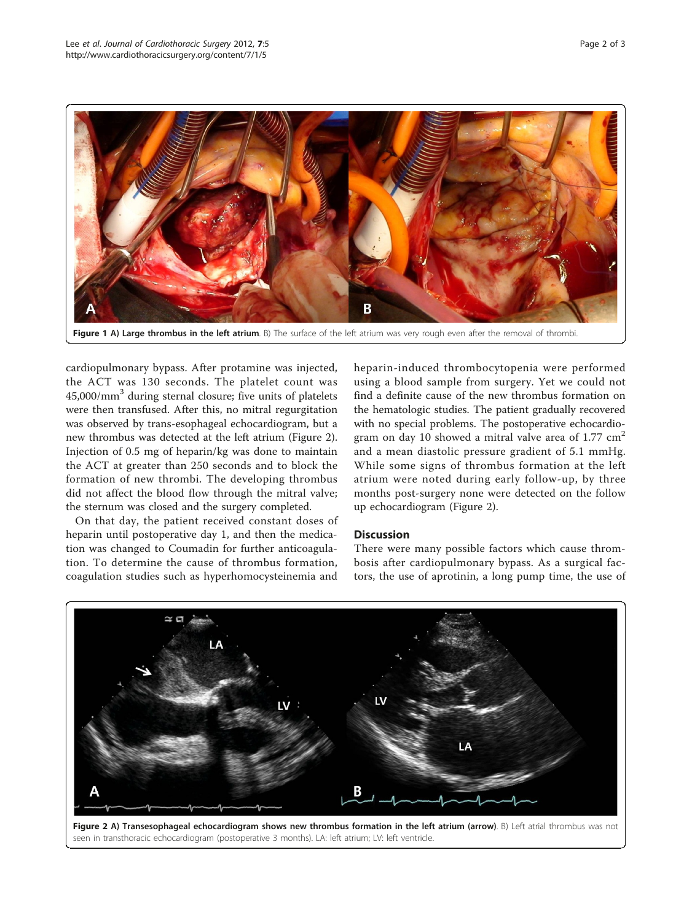<span id="page-1-0"></span>

Figure 1 A) Large thrombus in the left atrium. B) The surface of the left atrium was very rough even after the removal of thrombi

cardiopulmonary bypass. After protamine was injected, the ACT was 130 seconds. The platelet count was 45,000/mm<sup>3</sup> during sternal closure; five units of platelets were then transfused. After this, no mitral regurgitation was observed by trans-esophageal echocardiogram, but a new thrombus was detected at the left atrium (Figure 2). Injection of 0.5 mg of heparin/kg was done to maintain the ACT at greater than 250 seconds and to block the formation of new thrombi. The developing thrombus did not affect the blood flow through the mitral valve; the sternum was closed and the surgery completed.

On that day, the patient received constant doses of heparin until postoperative day 1, and then the medication was changed to Coumadin for further anticoagulation. To determine the cause of thrombus formation, coagulation studies such as hyperhomocysteinemia and

heparin-induced thrombocytopenia were performed using a blood sample from surgery. Yet we could not find a definite cause of the new thrombus formation on the hematologic studies. The patient gradually recovered with no special problems. The postoperative echocardiogram on day 10 showed a mitral valve area of 1.77  $cm<sup>2</sup>$ and a mean diastolic pressure gradient of 5.1 mmHg. While some signs of thrombus formation at the left atrium were noted during early follow-up, by three months post-surgery none were detected on the follow up echocardiogram (Figure 2).

## **Discussion**

There were many possible factors which cause thrombosis after cardiopulmonary bypass. As a surgical factors, the use of aprotinin, a long pump time, the use of